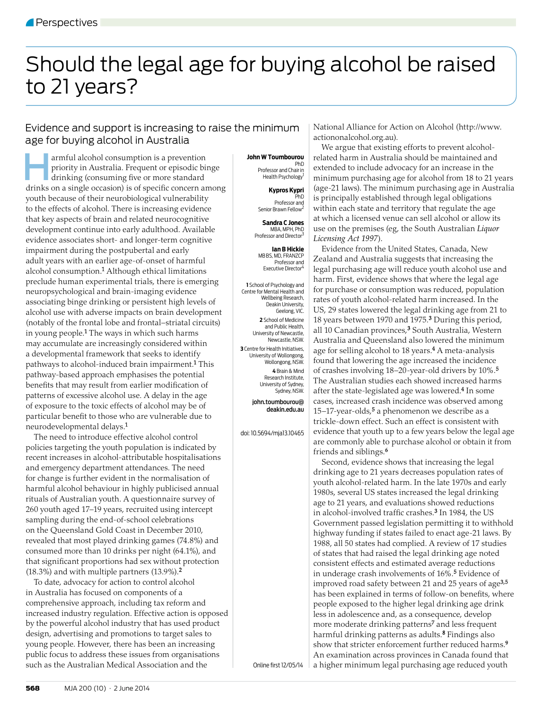# Should the legal age for buying alcohol be raised to 21 years?

## Evidence and support is increasing to raise the minimum age for buying alcohol in Australia

armful alcohol consumption is a prevention<br>priority in Australia. Frequent or episodic bis<br>drinking (consuming five or more standard priority in Australia. Frequent or episodic binge drinking (consuming five or more standard drinks on a single occasion) is of specific concern among youth because of their neurobiological vulnerability to the effects of alcohol. There is increasing evidence that key aspects of brain and related neurocognitive development continue into early adulthood. Available evidence associates short- and longer-term cognitive impairment during the postpubertal and early adult years with an earlier age-of-onset of harmful alcohol consumption.1 Although ethical limitations preclude human experimental trials, there is emerging neuropsychological and brain-imaging evidence associating binge drinking or persistent high levels of alcohol use with adverse impacts on brain development (notably of the frontal lobe and frontal–striatal circuits) in young people.1 The ways in which such harms may accumulate are increasingly considered within a developmental framework that seeks to identify pathways to alcohol-induced brain impairment.1 This pathway-based approach emphasises the potential benefits that may result from earlier modification of patterns of excessive alcohol use. A delay in the age of exposure to the toxic effects of alcohol may be of particular benefit to those who are vulnerable due to neurodevelopmental delays.1

The need to introduce effective alcohol control policies targeting the youth population is indicated by recent increases in alcohol-attributable hospitalisations and emergency department attendances. The need for change is further evident in the normalisation of harmful alcohol behaviour in highly publicised annual rituals of Australian youth. A questionnaire survey of 260 youth aged 17–19 years, recruited using intercept sampling during the end-of-school celebrations on the Queensland Gold Coast in December 2010, revealed that most played drinking games (74.8%) and consumed more than 10 drinks per night (64.1%), and that significant proportions had sex without protection (18.3%) and with multiple partners (13.9%).<sup>2</sup>

To date, advocacy for action to control alcohol in Australia has focused on components of a comprehensive approach, including tax reform and increased industry regulation. Effective action is opposed by the powerful alcohol industry that has used product design, advertising and promotions to target sales to young people. However, there has been an increasing public focus to address these issues from organisations such as the Australian Medical Association and the

### **John W Toumbourou**

PhD Professor and Chair in Health Psychology

> **Kypros Kypri**  PhD

Professor and Senior Brawn Fellow

**Sandra C Jones**  MBA, MPH, PhD Professor and Director

**Ian B Hickie**  MB BS, MD, FRANZCP Professor and Executive Director4

**1** School of Psychology and Centre for Mental Health and Wellbeing Research, Deakin University, Geelong, VIC.

**2** School of Medicine and Public Health, University of Newcastle, Newcastle, NSW. **3** Centre for Health Initiatives, University of Wollongong, Wollongong, NSW. **4** Brain & Mind

Research Institute, University of Sydney, Sydney, NSW.

john.toumbourou@ deakin.edu.au

doi: 10.5694/mja13.10465

National Alliance for Action on Alcohol (http://www. actiononalcohol.org.au).

We argue that existing efforts to prevent alcoholrelated harm in Australia should be maintained and extended to include advocacy for an increase in the minimum purchasing age for alcohol from 18 to 21 years (age-21 laws). The minimum purchasing age in Australia is principally established through legal obligations within each state and territory that regulate the age at which a licensed venue can sell alcohol or allow its use on the premises (eg, the South Australian *Liquor Licensing Act 1997*).

Evidence from the United States, Canada, New Zealand and Australia suggests that increasing the legal purchasing age will reduce youth alcohol use and harm. First, evidence shows that where the legal age for purchase or consumption was reduced, population rates of youth alcohol-related harm increased. In the US, 29 states lowered the legal drinking age from 21 to 18 years between 1970 and 1975.3 During this period, all 10 Canadian provinces,<sup>3</sup> South Australia, Western Australia and Queensland also lowered the minimum age for selling alcohol to 18 years.<sup>4</sup> A meta-analysis found that lowering the age increased the incidence of crashes involving 18–20-year-old drivers by 10%.<sup>5</sup> The Australian studies each showed increased harms after the state-legislated age was lowered.4 In some cases, increased crash incidence was observed among 15–17-year-olds, $5$  a phenomenon we describe as a trickle-down effect. Such an effect is consistent with evidence that youth up to a few years below the legal age are commonly able to purchase alcohol or obtain it from friends and siblings.<sup>6</sup>

Second, evidence shows that increasing the legal drinking age to 21 years decreases population rates of youth alcohol-related harm. In the late 1970s and early 1980s, several US states increased the legal drinking age to 21 years, and evaluations showed reductions in alcohol-involved traffic crashes. $3$  In 1984, the US Government passed legislation permitting it to withhold highway funding if states failed to enact age-21 laws. By 1988, all 50 states had complied. A review of 17 studies of states that had raised the legal drinking age noted consistent effects and estimated average reductions in underage crash involvements of 16%.5 Evidence of improved road safety between 21 and 25 years of age<sup>3,5</sup> has been explained in terms of follow-on benefits, where people exposed to the higher legal drinking age drink less in adolescence and, as a consequence, develop more moderate drinking patterns7 and less frequent harmful drinking patterns as adults.<sup>8</sup> Findings also show that stricter enforcement further reduced harms.<sup>9</sup> An examination across provinces in Canada found that a higher minimum legal purchasing age reduced youth

Online first 12/05/14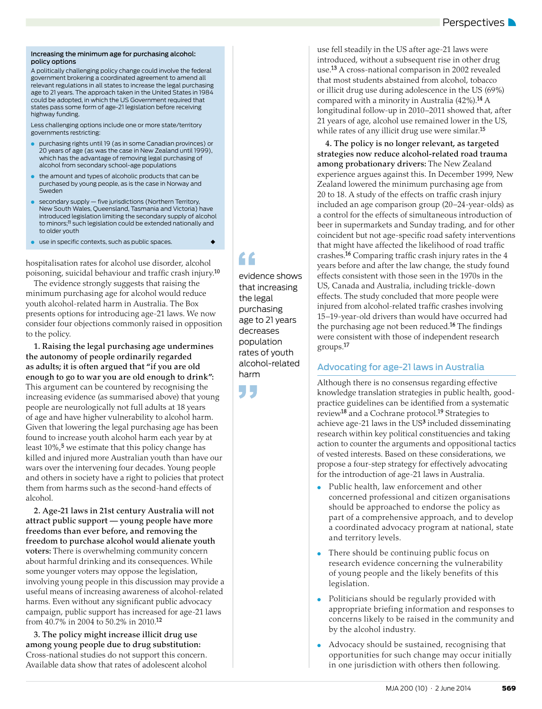#### Increasing the minimum age for purchasing alcohol: policy options

A politically challenging policy change could involve the federal government brokering a coordinated agreement to amend all relevant regulations in all states to increase the legal purchasing age to 21 years. The approach taken in the United States in 1984 could be adopted, in which the US Government required that states pass some form of age-21 legislation before receiving highway funding.

Less challenging options include one or more state/territory governments restricting:

- purchasing rights until 19 (as in some Canadian provinces) or 20 years of age (as was the case in New Zealand until 1999), which has the advantage of removing legal purchasing of alcohol from secondary school-age populations
- the amount and types of alcoholic products that can be purchased by young people, as is the case in Norway and Sweden
- $\bullet$  secondary supply  $-$  five jurisdictions (Northern Territory, New South Wales, Queensland, Tasmania and Victoria) have introduced legislation limiting the secondary supply of alcohol to minors;<sup>11</sup> such legislation could be extended nationally and to older youth
- $\bullet$  use in specific contexts, such as public spaces.

hospitalisation rates for alcohol use disorder, alcohol poisoning, suicidal behaviour and traffic crash injury.<sup>10</sup>

The evidence strongly suggests that raising the minimum purchasing age for alcohol would reduce youth alcohol-related harm in Australia. The Box presents options for introducing age-21 laws. We now consider four objections commonly raised in opposition to the policy.

**1. Raising the legal purchasing age undermines the autonomy of people ordinarily regarded as adults; it is often argued that "if you are old enough to go to war you are old enough to drink":** This argument can be countered by recognising the increasing evidence (as summarised above) that young people are neurologically not full adults at 18 years of age and have higher vulnerability to alcohol harm. Given that lowering the legal purchasing age has been found to increase youth alcohol harm each year by at least 10%,<sup>5</sup> we estimate that this policy change has killed and injured more Australian youth than have our wars over the intervening four decades. Young people and others in society have a right to policies that protect them from harms such as the second-hand effects of alcohol.

**2. Age-21 laws in 21st century Australia will not attract public support — young people have more freedoms than ever before, and removing the freedom to purchase alcohol would alienate youth voters:** There is overwhelming community concern about harmful drinking and its consequences. While some younger voters may oppose the legislation, involving young people in this discussion may provide a useful means of increasing awareness of alcohol-related harms. Even without any significant public advocacy campaign, public support has increased for age-21 laws from 40.7% in 2004 to 50.2% in 2010.12

**3. The policy might increase illicit drug use among young people due to drug substitution:**  Cross-national studies do not support this concern. Available data show that rates of adolescent alcohol

evidence shows that increasing the legal purchasing age to 21 years decreases population rates of youth alcohol-related harm

"

use fell steadily in the US after age-21 laws were introduced, without a subsequent rise in other drug use.13 A cross-national comparison in 2002 revealed that most students abstained from alcohol, tobacco or illicit drug use during adolescence in the US (69%) compared with a minority in Australia  $(42\%)$ .<sup>14</sup> A longitudinal follow-up in 2010–2011 showed that, after 21 years of age, alcohol use remained lower in the US, while rates of any illicit drug use were similar.<sup>15</sup>

**4. The policy is no longer relevant, as targeted strategies now reduce alcohol-related road trauma among probationary drivers:** The New Zealand experience argues against this. In December 1999, New Zealand lowered the minimum purchasing age from 20 to 18. A study of the effects on traffic crash injury included an age comparison group (20–24-year-olds) as a control for the effects of simultaneous introduction of beer in supermarkets and Sunday trading, and for other coincident but not age-specific road safety interventions that might have affected the likelihood of road traffic crashes.<sup>16</sup> Comparing traffic crash injury rates in the 4 years before and after the law change, the study found effects consistent with those seen in the 1970s in the US, Canada and Australia, including trickle-down effects. The study concluded that more people were injured from alcohol-related traffic crashes involving 15–19-year-old drivers than would have occurred had the purchasing age not been reduced.<sup>16</sup> The findings were consistent with those of independent research groups.17

## Advocating for age-21 laws in Australia

Although there is no consensus regarding effective knowledge translation strategies in public health, goodpractice guidelines can be identified from a systematic review18 and a Cochrane protocol.19 Strategies to achieve age-21 laws in the US<sup>3</sup> included disseminating research within key political constituencies and taking action to counter the arguments and oppositional tactics of vested interests. Based on these considerations, we propose a four-step strategy for effectively advocating for the introduction of age-21 laws in Australia.

- Public health, law enforcement and other concerned professional and citizen organisations should be approached to endorse the policy as part of a comprehensive approach, and to develop a coordinated advocacy program at national, state and territory levels.
- There should be continuing public focus on research evidence concerning the vulnerability of young people and the likely benefits of this legislation.
- Politicians should be regularly provided with appropriate briefing information and responses to concerns likely to be raised in the community and by the alcohol industry.
- Advocacy should be sustained, recognising that opportunities for such change may occur initially in one jurisdiction with others then following.